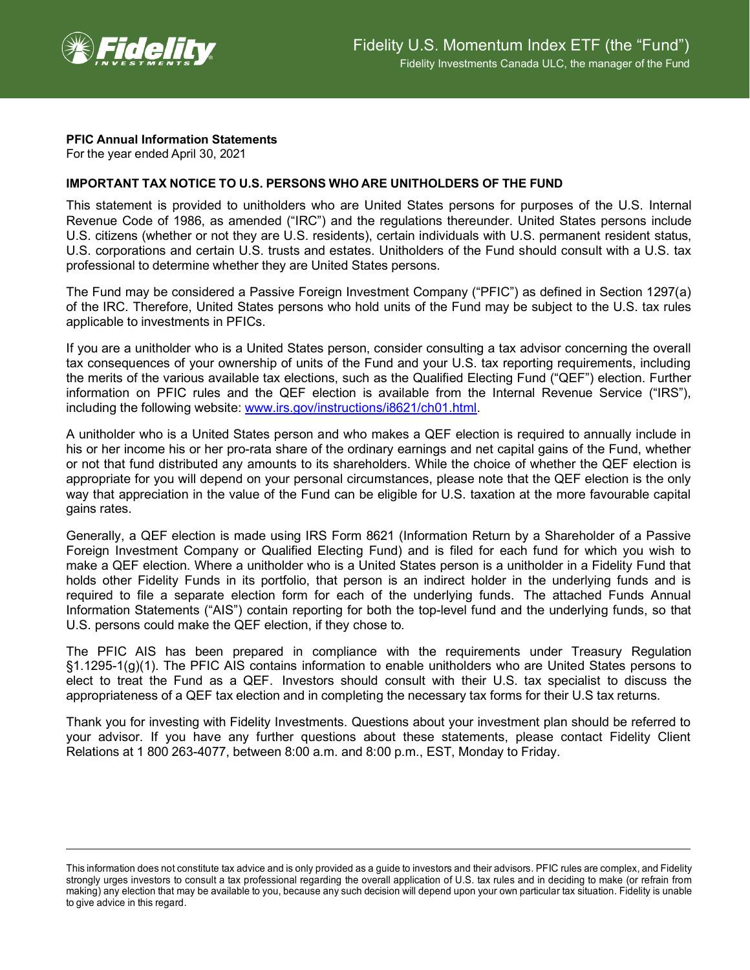

## **PFIC Annual Information Statements**

For the year ended April 30, 2021

## **IMPORTANT TAX NOTICE TO U.S. PERSONS WHO ARE UNITHOLDERS OF THE FUND**

This statement is provided to unitholders who are United States persons for purposes of the U.S. Internal Revenue Code of 1986, as amended ("IRC") and the regulations thereunder. United States persons include U.S. citizens (whether or not they are U.S. residents), certain individuals with U.S. permanent resident status, U.S. corporations and certain U.S. trusts and estates. Unitholders of the Fund should consult with a U.S. tax professional to determine whether they are United States persons.

The Fund may be considered a Passive Foreign Investment Company ("PFIC") as defined in Section 1297(a) of the IRC. Therefore, United States persons who hold units of the Fund may be subject to the U.S. tax rules applicable to investments in PFICs.

If you are a unitholder who is a United States person, consider consulting a tax advisor concerning the overall tax consequences of your ownership of units of the Fund and your U.S. tax reporting requirements, including the merits of the various available tax elections, such as the Qualified Electing Fund ("QEF") election. Further information on PFIC rules and the QEF election is available from the Internal Revenue Service ("IRS"), including the following website: [www.irs.gov/instructions/i8621/ch01.html.](http://www.irs.gov/instructions/i8621/ch01.html)

A unitholder who is a United States person and who makes a QEF election is required to annually include in his or her income his or her pro-rata share of the ordinary earnings and net capital gains of the Fund, whether or not that fund distributed any amounts to its shareholders. While the choice of whether the QEF election is appropriate for you will depend on your personal circumstances, please note that the QEF election is the only way that appreciation in the value of the Fund can be eligible for U.S. taxation at the more favourable capital gains rates.

Generally, a QEF election is made using IRS Form 8621 (Information Return by a Shareholder of a Passive Foreign Investment Company or Qualified Electing Fund) and is filed for each fund for which you wish to make a QEF election. Where a unitholder who is a United States person is a unitholder in a Fidelity Fund that holds other Fidelity Funds in its portfolio, that person is an indirect holder in the underlying funds and is required to file a separate election form for each of the underlying funds. The attached Funds Annual Information Statements ("AIS") contain reporting for both the top-level fund and the underlying funds, so that U.S. persons could make the QEF election, if they chose to.

The PFIC AIS has been prepared in compliance with the requirements under Treasury Regulation §1.1295-1(g)(1). The PFIC AIS contains information to enable unitholders who are United States persons to elect to treat the Fund as a QEF. Investors should consult with their U.S. tax specialist to discuss the appropriateness of a QEF tax election and in completing the necessary tax forms for their U.S tax returns.

Thank you for investing with Fidelity Investments. Questions about your investment plan should be referred to your advisor. If you have any further questions about these statements, please contact Fidelity Client Relations at 1 800 263-4077, between 8:00 a.m. and 8:00 p.m., EST, Monday to Friday.

This information does not constitute tax advice and is only provided as a guide to investors and their advisors. PFIC rules are complex, and Fidelity strongly urges investors to consult a tax professional regarding the overall application of U.S. tax rules and in deciding to make (or refrain from making) any election that may be available to you, because any such decision will depend upon your own particular tax situation. Fidelity is unable to give advice in this regard.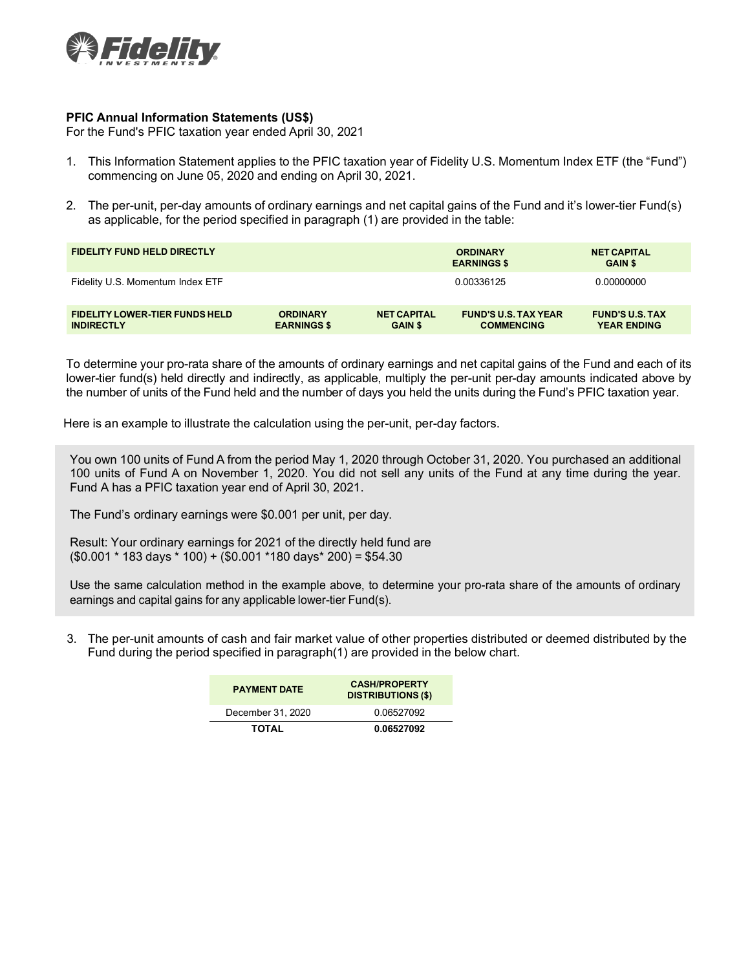

## **PFIC Annual Information Statements (US\$)**

For the Fund's PFIC taxation year ended April 30, 2021

- 1. This Information Statement applies to the PFIC taxation year of Fidelity U.S. Momentum Index ETF (the "Fund") commencing on June 05, 2020 and ending on April 30, 2021.
- 2. The per-unit, per-day amounts of ordinary earnings and net capital gains of the Fund and it's lower-tier Fund(s) as applicable, for the period specified in paragraph (1) are provided in the table:

| <b>FIDELITY FUND HELD DIRECTLY</b>                         |                                       |                                      | <b>ORDINARY</b><br><b>EARNINGS \$</b>            | <b>NET CAPITAL</b><br><b>GAIN \$</b>         |
|------------------------------------------------------------|---------------------------------------|--------------------------------------|--------------------------------------------------|----------------------------------------------|
| Fidelity U.S. Momentum Index ETF                           |                                       |                                      | 0.00336125                                       | 0.00000000                                   |
| <b>FIDELITY LOWER-TIER FUNDS HELD</b><br><b>INDIRECTLY</b> | <b>ORDINARY</b><br><b>EARNINGS \$</b> | <b>NET CAPITAL</b><br><b>GAIN \$</b> | <b>FUND'S U.S. TAX YEAR</b><br><b>COMMENCING</b> | <b>FUND'S U.S. TAX</b><br><b>YEAR ENDING</b> |

To determine your pro-rata share of the amounts of ordinary earnings and net capital gains of the Fund and each of its lower-tier fund(s) held directly and indirectly, as applicable, multiply the per-unit per-day amounts indicated above by the number of units of the Fund held and the number of days you held the units during the Fund's PFIC taxation year.

Here is an example to illustrate the calculation using the per-unit, per-day factors.

You own 100 units of Fund A from the period May 1, 2020 through October 31, 2020. You purchased an additional 100 units of Fund A on November 1, 2020. You did not sell any units of the Fund at any time during the year. Fund A has a PFIC taxation year end of April 30, 2021.

The Fund's ordinary earnings were \$0.001 per unit, per day.

Result: Your ordinary earnings for 2021 of the directly held fund are  $($0.001 * 183 \text{ days} * 100) + ($0.001 * 180 \text{ days} * 200) = $54.30$ 

Use the same calculation method in the example above, to determine your pro-rata share of the amounts of ordinary earnings and capital gains for any applicable lower-tier Fund(s).

3. The per-unit amounts of cash and fair market value of other properties distributed or deemed distributed by the Fund during the period specified in paragraph(1) are provided in the below chart.

| <b>PAYMENT DATE</b> | <b>CASH/PROPERTY</b><br><b>DISTRIBUTIONS (\$)</b> |
|---------------------|---------------------------------------------------|
| December 31, 2020   | 0.06527092                                        |
| <b>TOTAL</b>        | 0.06527092                                        |